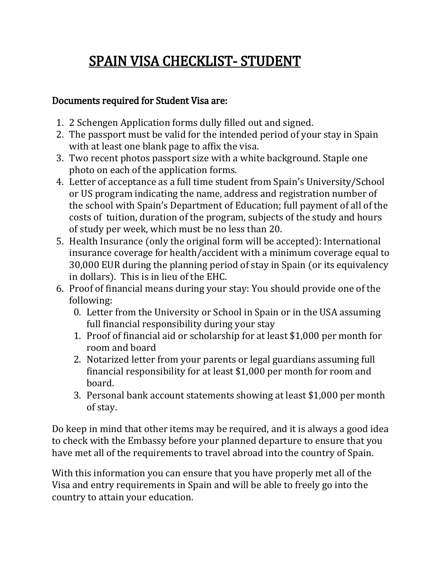# SPAIN VISA CHECKLIST- STUDENT

## Documents required for Student Visa are:

- 1. 2 Schengen Application forms dully filled out and signed.
- 2. The passport must be valid for the intended period of your stay in Spain with at least one blank page to affix the visa.
- 3. Two recent photos passport size with a white background. Staple one photo on each of the application forms.
- 4. Letter of acceptance as a full time student from Spain's University/School or US program indicating the name, address and registration number of the school with Spain's Department of Education; full payment of all of the costs of tuition, duration of the program, subjects of the study and hours of study per week, which must be no less than 20.
- 5. Health Insurance (only the original form will be accepted): International insurance coverage for health/accident with a minimum coverage equal to 30,000 EUR during the planning period of stay in Spain (or its equivalency in dollars). This is in lieu of the EHC.
- 6. Proof of financial means during your stay: You should provide one of the following:
	- 0. Letter from the University or School in Spain or in the USA assuming full financial responsibility during your stay
	- 1. Proof of financial aid or scholarship for at least \$1,000 per month for room and board
	- 2. Notarized letter from your parents or legal guardians assuming full financial responsibility for at least \$1,000 per month for room and board.
	- 3. Personal bank account statements showing at least \$1,000 per month of stay.

Do keep in mind that other items may be required, and it is always a good idea to check with the Embassy before your planned departure to ensure that you have met all of the requirements to travel abroad into the country of Spain.

With this information you can ensure that you have properly met all of the Visa and entry requirements in Spain and will be able to freely go into the country to attain your education.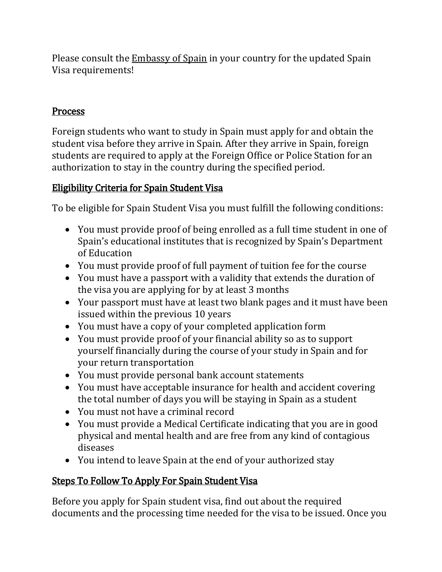Please consult the **[Embassy of Spain](http://www.embassy-worldwide.com/country/spain/)** in your country for the updated Spain Visa requirements!

# **Process**

Foreign students who want to study in Spain must apply for and obtain the student visa before they arrive in Spain. After they arrive in Spain, foreign students are required to apply at the Foreign Office or Police Station for an authorization to stay in the country during the specified period.

# Eligibility Criteria for Spain Student Visa

To be eligible for Spain Student Visa you must fulfill the following conditions:

- You must provide proof of being enrolled as a full time student in one of Spain's educational institutes that is recognized by Spain's Department of Education
- You must provide proof of full payment of tuition fee for the course
- You must have a passport with a validity that extends the duration of the visa you are applying for by at least 3 months
- Your passport must have at least two blank pages and it must have been issued within the previous 10 years
- You must have a copy of your completed application form
- You must provide proof of your financial ability so as to support yourself financially during the course of your study in Spain and for your return transportation
- You must provide personal bank account statements
- You must have acceptable insurance for health and accident covering the total number of days you will be staying in Spain as a student
- You must not have a criminal record
- You must provide a Medical Certificate indicating that you are in good physical and mental health and are free from any kind of contagious diseases
- You intend to leave Spain at the end of your authorized stay

# Steps To Follow To Apply For Spain Student Visa

Before you apply for Spain student visa, find out about the required documents and the processing time needed for the visa to be issued. Once you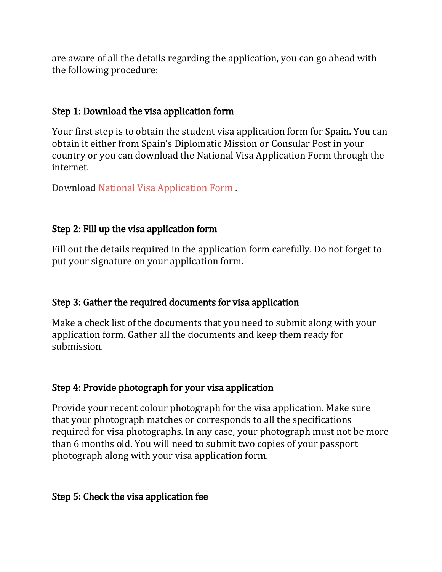are aware of all the details regarding the application, you can go ahead with the following procedure:

#### Step 1: Download the visa application form

Your first step is to obtain the student visa application form for Spain. You can obtain it either from Spain's Diplomatic Mission or Consular Post in your country or you can download the National Visa Application Form through the internet.

Download National Visa [Application Form](http://www.exteriores.gob.es/Consulados/MIAMI/es/InformacionParaExtranjeros/Documents/National_Visa_Application.pdf) .

# Step 2: Fill up the visa application form

Fill out the details required in the application form carefully. Do not forget to put your signature on your application form.

# Step 3: Gather the required documents for visa application

Make a check list of the documents that you need to submit along with your application form. Gather all the documents and keep them ready for submission.

# Step 4: Provide photograph for your visa application

Provide your recent colour photograph for the visa application. Make sure that your photograph matches or corresponds to all the specifications required for visa photographs. In any case, your photograph must not be more than 6 months old. You will need to submit two copies of your passport photograph along with your visa application form.

# Step 5: Check the visa application fee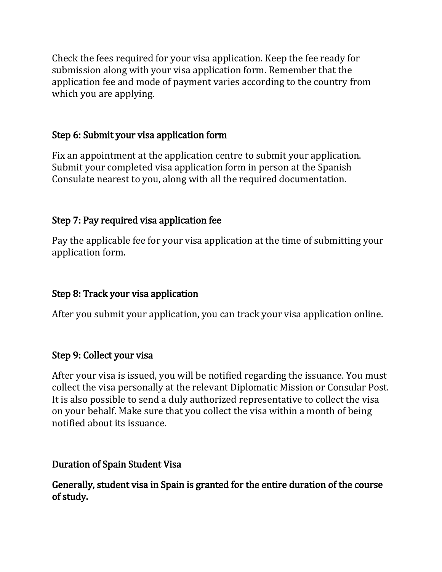Check the fees required for your visa application. Keep the fee ready for submission along with your visa application form. Remember that the application fee and mode of payment varies according to the country from which you are applying.

#### Step 6: Submit your visa application form

Fix an appointment at the application centre to submit your application. Submit your completed visa application form in person at the Spanish Consulate nearest to you, along with all the required documentation.

#### Step 7: Pay required visa application fee

Pay the applicable fee for your visa application at the time of submitting your application form.

# Step 8: Track your visa application

After you submit your application, you can track your visa application online.

#### Step 9: Collect your visa

After your visa is issued, you will be notified regarding the issuance. You must collect the visa personally at the relevant Diplomatic Mission or Consular Post. It is also possible to send a duly authorized representative to collect the visa on your behalf. Make sure that you collect the visa within a month of being notified about its issuance.

#### Duration of Spain Student Visa

Generally, student visa in Spain is granted for the entire duration of the course of study.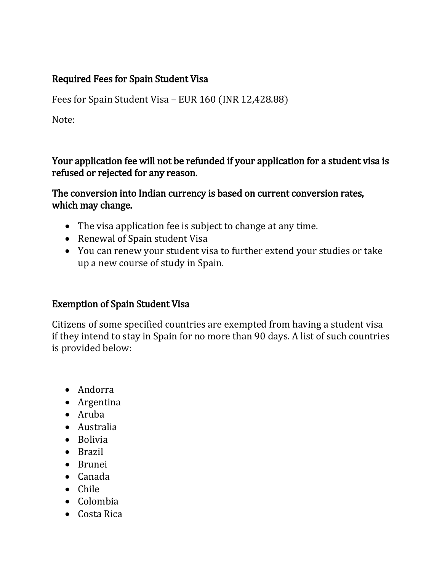# Required Fees for Spain Student Visa

Fees for Spain Student Visa – EUR 160 (INR 12,428.88)

Note:

Your application fee will not be refunded if your application for a student visa is refused or rejected for any reason.

The conversion into Indian currency is based on current conversion rates, which may change.

- The visa application fee is subject to change at any time.
- Renewal of Spain student Visa
- You can renew your student visa to further extend your studies or take up a new course of study in Spain.

# Exemption of Spain Student Visa

Citizens of some specified countries are exempted from having a student visa if they intend to stay in Spain for no more than 90 days. A list of such countries is provided below:

- Andorra
- Argentina
- Aruba
- Australia
- Bolivia
- Brazil
- Brunei
- Canada
- Chile
- Colombia
- Costa Rica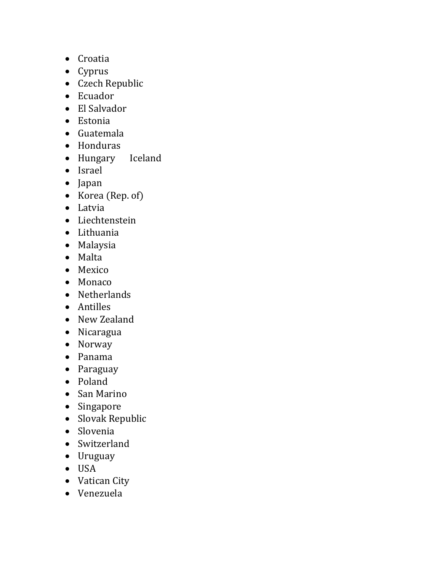- Croatia
- Cyprus
- Czech Republic
- Ecuador
- El Salvador
- Estonia
- Guatemala
- Honduras
- Hungary Iceland
- Israel
- Japan
- Korea (Rep. of)
- Latvia
- Liechtenstein
- Lithuania
- Malaysia
- Malta
- Mexico
- Monaco
- Netherlands
- Antilles
- New Zealand
- Nicaragua
- Norway
- Panama
- Paraguay
- Poland
- San Marino
- Singapore
- Slovak Republic
- Slovenia
- Switzerland
- Uruguay
- USA
- Vatican City
- Venezuela